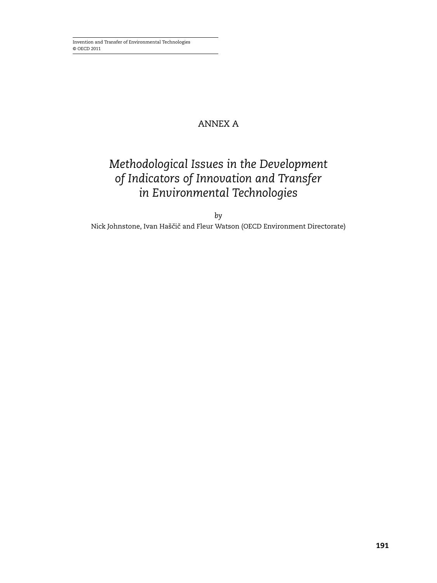# ANNEX A

# *Methodological Issues in the Development of Indicators of Innovation and Transfer in Environmental Technologies*

*by*

Nick Johnstone, Ivan Haščič and Fleur Watson (OECD Environment Directorate)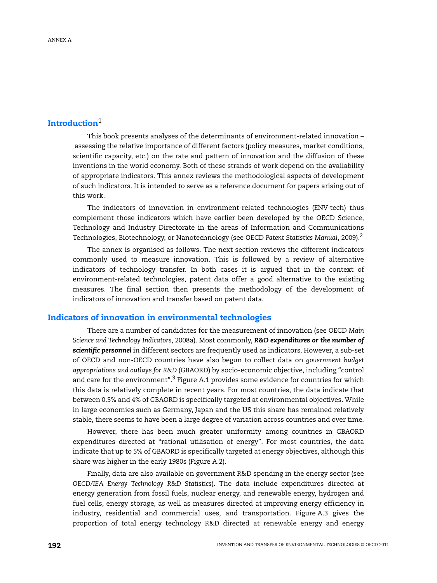# **Introduction**<sup>1</sup>

This book presents analyses of the determinants of environment-related innovation – assessing the relative importance of different factors (policy measures, market conditions, scientific capacity, etc.) on the rate and pattern of innovation and the diffusion of these inventions in the world economy. Both of these strands of work depend on the availability of appropriate indicators. This annex reviews the methodological aspects of development of such indicators. It is intended to serve as a reference document for papers arising out of this work.

The indicators of innovation in environment-related technologies (ENV-tech) thus complement those indicators which have earlier been developed by the OECD Science, Technology and Industry Directorate in the areas of Information and Communications Technologies, Biotechnology, or Nanotechnology (see OECD *Patent Statistics Manual*, 2009).[2](#page-19-0)

The annex is organised as follows. The next section reviews the different indicators commonly used to measure innovation. This is followed by a review of alternative indicators of technology transfer. In both cases it is argued that in the context of environment-related technologies, patent data offer a good alternative to the existing measures. The final section then presents the methodology of the development of indicators of innovation and transfer based on patent data.

# **Indicators of innovation in environmental technologies**

There are a number of candidates for the measurement of innovation (see OECD *Main Science and Technology Indicators*, 2008a). Most commonly, *R&D expenditures or the number of scientific personnel* in different sectors are frequently used as indicators. However, a sub-set of OECD and non-OECD countries have also begun to collect data on *government budget appropriations and outlays for R&D* (GBAORD) by socio-economic objective, including "control and care for the environment".<sup>3</sup> [Figure A.1](#page-2-0) provides some evidence for countries for which this data is relatively complete in recent years. For most countries, the data indicate that between 0.5% and 4% of GBAORD is specifically targeted at environmental objectives. While in large economies such as Germany, Japan and the US this share has remained relatively stable, there seems to have been a large degree of variation across countries and over time.

However, there has been much greater uniformity among countries in GBAORD expenditures directed at "rational utilisation of energy". For most countries, the data indicate that up to 5% of GBAORD is specifically targeted at energy objectives, although this share was higher in the early 1980s ([Figure A.2](#page-3-0)).

Finally, data are also available on government R&D spending in the energy sector (see *OECD/IEA Energy Technology R&D Statistics*). The data include expenditures directed at energy generation from fossil fuels, nuclear energy, and renewable energy, hydrogen and fuel cells, energy storage, as well as measures directed at improving energy efficiency in industry, residential and commercial uses, and transportation. [Figure A.3](#page-4-0) gives the proportion of total energy technology R&D directed at renewable energy and energy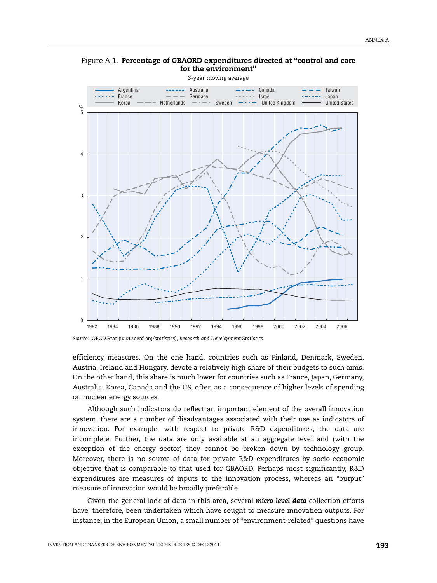

<span id="page-2-0"></span>Figure A.1. **Percentage of GBAORD expenditures directed at "control and care for the environment"**

*Source:* OECD.Stat (*[www.oecd.org/statistics](http://www.oecd.org/statistics)*), *Research and Development Statistics*.

efficiency measures. On the one hand, countries such as Finland, Denmark, Sweden, Austria, Ireland and Hungary, devote a relatively high share of their budgets to such aims. On the other hand, this share is much lower for countries such as France, Japan, Germany, Australia, Korea, Canada and the US, often as a consequence of higher levels of spending on nuclear energy sources.

Although such indicators do reflect an important element of the overall innovation system, there are a number of disadvantages associated with their use as indicators of innovation. For example, with respect to private R&D expenditures, the data are incomplete. Further, the data are only available at an aggregate level and (with the exception of the energy sector) they cannot be broken down by technology group. Moreover, there is no source of data for private R&D expenditures by socio-economic objective that is comparable to that used for GBAORD. Perhaps most significantly, R&D expenditures are measures of inputs to the innovation process, whereas an "output" measure of innovation would be broadly preferable.

Given the general lack of data in this area, several *micro-level data* collection efforts have, therefore, been undertaken which have sought to measure innovation outputs. For instance, in the European Union, a small number of "environment-related" questions have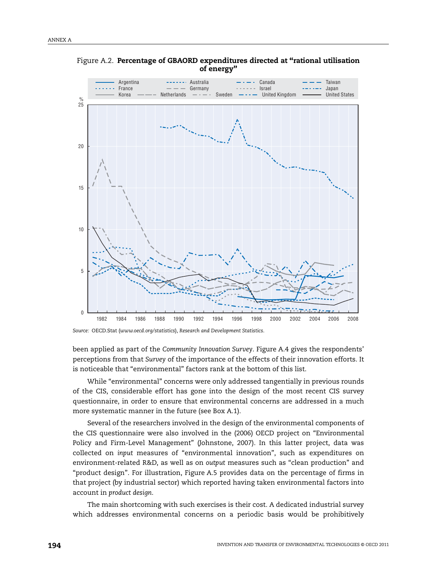

<span id="page-3-0"></span>Figure A.2. **Percentage of GBAORD expenditures directed at "rational utilisation of energy"**

been applied as part of the *Community Innovation Survey*. [Figure A.4](#page-4-1) gives the respondents' perceptions from that *Survey* of the importance of the effects of their innovation efforts. It is noticeable that "environmental" factors rank at the bottom of this list.

While "environmental" concerns were only addressed tangentially in previous rounds of the CIS, considerable effort has gone into the design of the most recent CIS survey questionnaire, in order to ensure that environmental concerns are addressed in a much more systematic manner in the future (see [Box A.1](#page-5-0)).

Several of the researchers involved in the design of the environmental components of the CIS questionnaire were also involved in the (2006) OECD project on "Environmental Policy and Firm-Level Management" (Johnstone, 2007). In this latter project, data was collected on *input* measures of "environmental innovation", such as expenditures on environment-related R&D, as well as on *output* measures such as "clean production" and "product design". For illustration, [Figure A.5](#page-6-0) provides data on the percentage of firms in that project (by industrial sector) which reported having taken environmental factors into account in *product design*.

The main shortcoming with such exercises is their cost. A dedicated industrial survey which addresses environmental concerns on a periodic basis would be prohibitively

*Source:* OECD.Stat (*[www.oecd.org/statistics](http://www.oecd.org/statistics)*), *Research and Development Statistics*.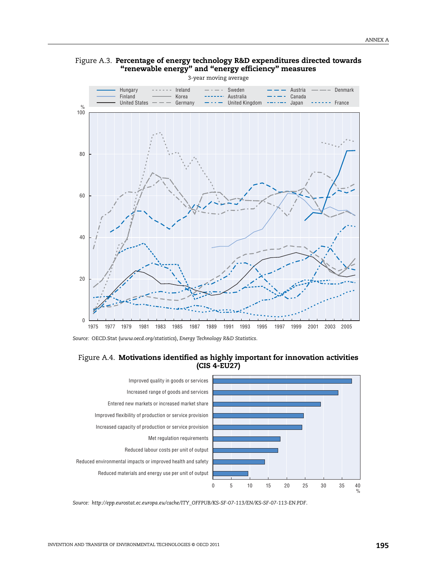

# <span id="page-4-0"></span>Figure A.3. **Percentage of energy technology R&D expenditures directed towards "renewable energy" and "energy efficiency" measures**

3-year moving average

# <span id="page-4-1"></span>Figure A.4. **Motivations identified as highly important for innovation activities (CIS 4-EU27)**



*Source: [http://epp.eurostat.ec.europa.eu/cache/ITY\\_OFFPUB/KS-SF-07-113/EN/KS-SF-07-113-EN.PDF](http://epp.eurostat.ec.europa.eu/cache/ITY_OFFPUB/KS%1eSF%1e07%1e113/EN/KS%1eSF%1e07%1e113%1eEN.PDF)*.

*Source:* OECD.Stat (*[www.oecd.org/statistics](http://www.oecd.org/statistics)*), *Energy Technology R&D Statistics*.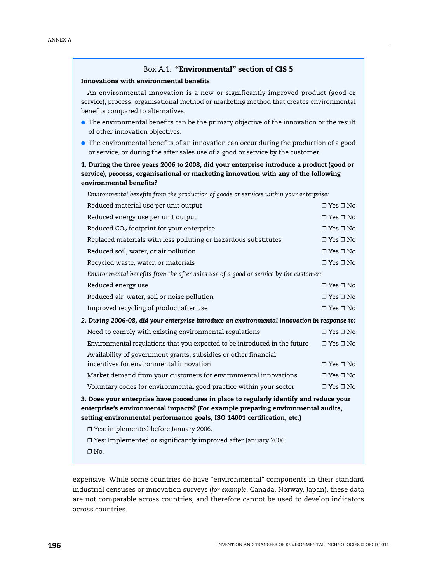# Box A.1. **"Environmental" section of CIS 5**

#### <span id="page-5-0"></span>**Innovations with environmental benefits**

An environmental innovation is a new or significantly improved product (good or service), process, organisational method or marketing method that creates environmental benefits compared to alternatives.

- The environmental benefits can be the primary objective of the innovation or the result of other innovation objectives.
- The environmental benefits of an innovation can occur during the production of a good or service, or during the after sales use of a good or service by the customer.

# **1. During the three years 2006 to 2008, did your enterprise introduce a product (good or service), process, organisational or marketing innovation with any of the following environmental benefits?**

*Environmental benefits from the production of goods or services within your enterprise:*

|                                                                                                                                                                            | Reduced material use per unit output                                                  | $\Box$ Yes $\Box$ No |  |
|----------------------------------------------------------------------------------------------------------------------------------------------------------------------------|---------------------------------------------------------------------------------------|----------------------|--|
|                                                                                                                                                                            | Reduced energy use per unit output                                                    | $\Box$ Yes $\Box$ No |  |
|                                                                                                                                                                            | Reduced $CO2$ footprint for your enterprise                                           | $\Box$ Yes $\Box$ No |  |
|                                                                                                                                                                            | Replaced materials with less polluting or hazardous substitutes                       | $\Box$ Yes $\Box$ No |  |
|                                                                                                                                                                            | Reduced soil, water, or air pollution                                                 | $\neg$ Yes $\neg$ No |  |
|                                                                                                                                                                            | Recycled waste, water, or materials                                                   | $\Box$ Yes $\Box$ No |  |
|                                                                                                                                                                            | Environmental benefits from the after sales use of a good or service by the customer: |                      |  |
|                                                                                                                                                                            | Reduced energy use                                                                    | $\Box$ Yes $\Box$ No |  |
|                                                                                                                                                                            | Reduced air, water, soil or noise pollution                                           | $\Box$ Yes $\Box$ No |  |
|                                                                                                                                                                            | Improved recycling of product after use                                               | $\Box$ Yes $\Box$ No |  |
| 2. During 2006-08, did your enterprise introduce an environmental innovation in response to:                                                                               |                                                                                       |                      |  |
|                                                                                                                                                                            | Need to comply with existing environmental regulations                                | $\Box$ Yes $\Box$ No |  |
|                                                                                                                                                                            | Environmental regulations that you expected to be introduced in the future            | $\Box$ Yes $\Box$ No |  |
|                                                                                                                                                                            | Availability of government grants, subsidies or other financial                       |                      |  |
|                                                                                                                                                                            | incentives for environmental innovation                                               | $\Box$ Yes $\Box$ No |  |
|                                                                                                                                                                            | Market demand from your customers for environmental innovations                       | $\neg$ Yes $\neg$ No |  |
|                                                                                                                                                                            | Voluntary codes for environmental good practice within your sector                    | $\neg$ Yes $\neg$ No |  |
| 3. Does your enterprise have procedures in place to regularly identify and reduce your<br>enterprise's environmental impacts? (For example preparing environmental audits, |                                                                                       |                      |  |
|                                                                                                                                                                            |                                                                                       |                      |  |

**setting environmental performance goals, ISO 14001 certification, etc.)**

❒ Yes: implemented before January 2006.

❒ Yes: Implemented or significantly improved after January 2006.

 $\n **7** No.$ 

expensive. While some countries do have "environmental" components in their standard industrial censuses or innovation surveys (*for example*, Canada, Norway, Japan), these data are not comparable across countries, and therefore cannot be used to develop indicators across countries.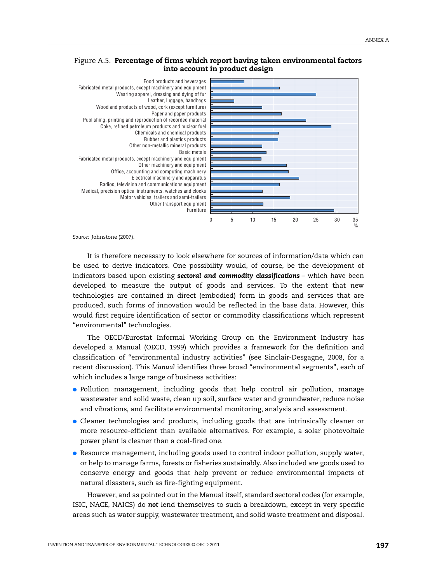# <span id="page-6-0"></span>Figure A.5. **Percentage of firms which report having taken environmental factors into account in product design**



*Source:* Johnstone (2007).

It is therefore necessary to look elsewhere for sources of information/data which can be used to derive indicators. One possibility would, of course, be the development of indicators based upon existing *sectoral and commodity classifications* – which have been developed to measure the output of goods and services. To the extent that new technologies are contained in direct (embodied) form in goods and services that are produced, such forms of innovation would be reflected in the base data. However, this would first require identification of sector or commodity classifications which represent "environmental" technologies.

The OECD/Eurostat Informal Working Group on the Environment Industry has developed a Manual (OECD, 1999) which provides a framework for the definition and classification of "environmental industry activities" (see Sinclair-Desgagne, 2008, for a recent discussion). This *Manual* identifies three broad "environmental segments", each of which includes a large range of business activities:

- Pollution management, including goods that help control air pollution, manage wastewater and solid waste, clean up soil, surface water and groundwater, reduce noise and vibrations, and facilitate environmental monitoring, analysis and assessment.
- Cleaner technologies and products, including goods that are intrinsically cleaner or more resource-efficient than available alternatives. For example, a solar photovoltaic power plant is cleaner than a coal-fired one.
- Resource management, including goods used to control indoor pollution, supply water, or help to manage farms, forests or fisheries sustainably. Also included are goods used to conserve energy and goods that help prevent or reduce environmental impacts of natural disasters, such as fire-fighting equipment.

However, and as pointed out in the Manual itself, standard sectoral codes (for example, ISIC, NACE, NAICS) do *not* lend themselves to such a breakdown, except in very specific areas such as water supply, wastewater treatment, and solid waste treatment and disposal.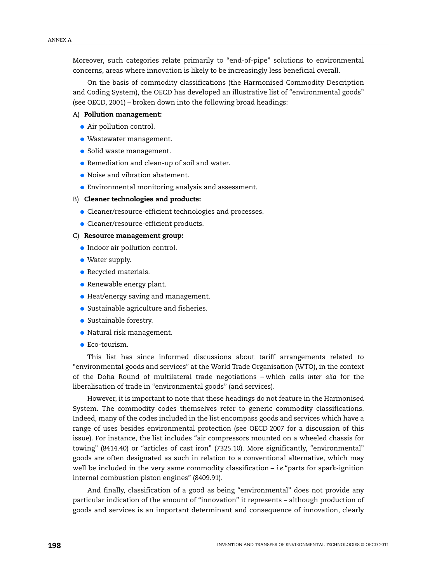Moreover, such categories relate primarily to "end-of-pipe" solutions to environmental concerns, areas where innovation is likely to be increasingly less beneficial overall.

On the basis of commodity classifications (the Harmonised Commodity Description and Coding System), the OECD has developed an illustrative list of "environmental goods" (see OECD, 2001) – broken down into the following broad headings:

#### A) **Pollution management:**

- Air pollution control.
- Wastewater management.
- Solid waste management.
- Remediation and clean-up of soil and water.
- Noise and vibration abatement.
- Environmental monitoring analysis and assessment.

#### B) **Cleaner technologies and products:**

- Cleaner/resource-efficient technologies and processes.
- Cleaner/resource-efficient products.

#### C) **Resource management group:**

- Indoor air pollution control.
- Water supply.
- Recycled materials.
- Renewable energy plant.
- Heat/energy saving and management.
- Sustainable agriculture and fisheries.
- Sustainable forestry.
- Natural risk management.
- Eco-tourism.

This list has since informed discussions about tariff arrangements related to "environmental goods and services" at the World Trade Organisation (WTO), in the context of the Doha Round of multilateral trade negotiations – which calls *inter alia* for the liberalisation of trade in "environmental goods" (and services).

However, it is important to note that these headings do not feature in the Harmonised System. The commodity codes themselves refer to generic commodity classifications. Indeed, many of the codes included in the list encompass goods and services which have a range of uses besides environmental protection (see OECD 2007 for a discussion of this issue). For instance, the list includes "air compressors mounted on a wheeled chassis for towing" (8414.40) or "articles of cast iron" (7325.10). More significantly, "environmental" goods are often designated as such in relation to a conventional alternative, which may well be included in the very same commodity classification – *i.e.*"parts for spark-ignition internal combustion piston engines" (8409.91).

And finally, classification of a good as being "environmental" does not provide any particular indication of the amount of "innovation" it represents – although production of goods and services is an important determinant and consequence of innovation, clearly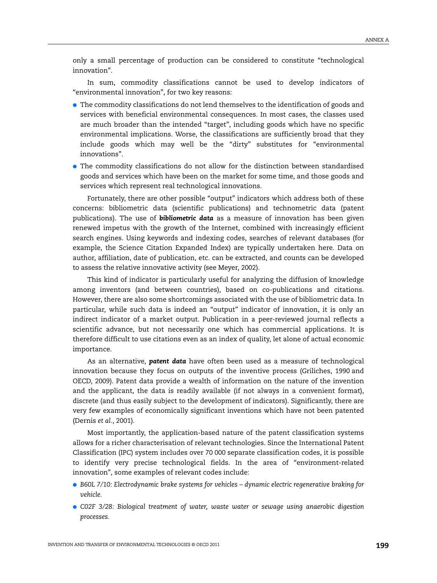only a small percentage of production can be considered to constitute "technological innovation".

In sum, commodity classifications cannot be used to develop indicators of "environmental innovation", for two key reasons:

- The commodity classifications do not lend themselves to the identification of goods and services with beneficial environmental consequences. In most cases, the classes used are much broader than the intended "target", including goods which have no specific environmental implications. Worse, the classifications are sufficiently broad that they include goods which may well be the "dirty" substitutes for "environmental innovations".
- The commodity classifications do not allow for the distinction between standardised goods and services which have been on the market for some time, and those goods and services which represent real technological innovations.

Fortunately, there are other possible "output" indicators which address both of these concerns: bibliometric data (scientific publications) and technometric data (patent publications). The use of *bibliometric data* as a measure of innovation has been given renewed impetus with the growth of the Internet, combined with increasingly efficient search engines. Using keywords and indexing codes, searches of relevant databases (for example, the Science Citation Expanded Index) are typically undertaken here. Data on author, affiliation, date of publication, etc. can be extracted, and counts can be developed to assess the relative innovative activity (see Meyer, 2002).

This kind of indicator is particularly useful for analyzing the diffusion of knowledge among inventors (and between countries), based on co-publications and citations. However, there are also some shortcomings associated with the use of bibliometric data. In particular, while such data is indeed an "output" indicator of innovation, it is only an indirect indicator of a market output. Publication in a peer-reviewed journal reflects a scientific advance, but not necessarily one which has commercial applications. It is therefore difficult to use citations even as an index of quality, let alone of actual economic importance.

As an alternative, *patent data* have often been used as a measure of technological innovation because they focus on outputs of the inventive process (Griliches, 1990 and OECD, 2009). Patent data provide a wealth of information on the nature of the invention and the applicant, the data is readily available (if not always in a convenient format), discrete (and thus easily subject to the development of indicators). Significantly, there are very few examples of economically significant inventions which have not been patented (Dernis *et al.*, 2001).

Most importantly, the application-based nature of the patent classification systems allows for a richer characterisation of relevant technologies. Since the International Patent Classification (IPC) system includes over 70 000 separate classification codes, it is possible to identify very precise technological fields. In the area of "environment-related innovation", some examples of relevant codes include:

- *B60L 7/10: Electrodynamic brake systems for vehicles dynamic electric regenerative braking for vehicle.*
- *C02F 3/28: Biological treatment of water, waste water or sewage using anaerobic digestion processes.*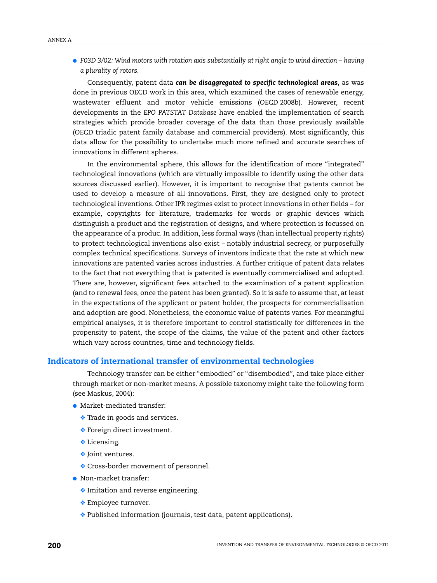● *F03D 3/02: Wind motors with rotation axis substantially at right angle to wind direction – having a plurality of rotors.*

Consequently, patent data *can be disaggregated to specific technological areas*, as was done in previous OECD work in this area, which examined the cases of renewable energy, wastewater effluent and motor vehicle emissions (OECD 2008b). However, recent developments in the *EPO PATSTAT Database* have enabled the implementation of search strategies which provide broader coverage of the data than those previously available (OECD triadic patent family database and commercial providers). Most significantly, this data allow for the possibility to undertake much more refined and accurate searches of innovations in different spheres.

In the environmental sphere, this allows for the identification of more "integrated" technological innovations (which are virtually impossible to identify using the other data sources discussed earlier). However, it is important to recognise that patents cannot be used to develop a measure of all innovations. First, they are designed only to protect technological inventions. Other IPR regimes exist to protect innovations in other fields – for example, copyrights for literature, trademarks for words or graphic devices which distinguish a product and the registration of designs, and where protection is focussed on the appearance of a produc. In addition, less formal ways (than intellectual property rights) to protect technological inventions also exist – notably industrial secrecy, or purposefully complex technical specifications. Surveys of inventors indicate that the rate at which new innovations are patented varies across industries. A further critique of patent data relates to the fact that not everything that is patented is eventually commercialised and adopted. There are, however, significant fees attached to the examination of a patent application (and to renewal fees, once the patent has been granted). So it is safe to assume that, at least in the expectations of the applicant or patent holder, the prospects for commercialisation and adoption are good. Nonetheless, the economic value of patents varies. For meaningful empirical analyses, it is therefore important to control statistically for differences in the propensity to patent, the scope of the claims, the value of the patent and other factors which vary across countries, time and technology fields.

# **Indicators of international transfer of environmental technologies**

Technology transfer can be either "embodied" or "disembodied", and take place either through market or non-market means. A possible taxonomy might take the following form (see Maskus, 2004):

- Market-mediated transfer:
	- ❖ Trade in goods and services.
	- ❖ Foreign direct investment.
	- ❖ Licensing.
	- ❖ Joint ventures.
	- ❖ Cross-border movement of personnel.
- Non-market transfer:
	- ❖ Imitation and reverse engineering.
	- ❖ Employee turnover.
	- ❖ Published information (journals, test data, patent applications).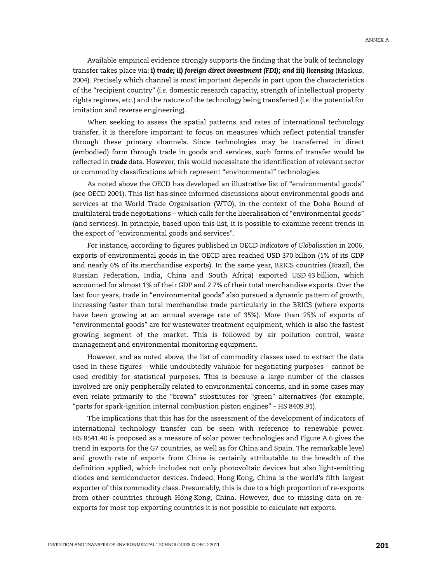Available empirical evidence strongly supports the finding that the bulk of technology transfer takes place via: **i)** *trade;* **ii)** *foreign direct investment (FDI); and* **iii)** *licensing* (Maskus, 2004). Precisely which channel is most important depends in part upon the characteristics of the "recipient country" (*i.e.* domestic research capacity, strength of intellectual property rights regimes, etc.) and the nature of the technology being transferred (*i.e.* the potential for imitation and reverse engineering).

When seeking to assess the spatial patterns and rates of international technology transfer, it is therefore important to focus on measures which reflect potential transfer through these primary channels. Since technologies may be transferred in direct (embodied) form through trade in goods and services, such forms of transfer would be reflected in *trade* data. However, this would necessitate the identification of relevant sector or commodity classifications which represent "environmental" technologies.

As noted above the OECD has developed an illustrative list of "environmental goods" (see OECD 2001). This list has since informed discussions about environmental goods and services at the World Trade Organisation (WTO), in the context of the Doha Round of multilateral trade negotiations – which calls for the liberalisation of "environmental goods" (and services). In principle, based upon this list, it is possible to examine recent trends in the export of "environmental goods and services".

For instance, according to figures published in OECD *Indicators of Globalisation* in 2006, exports of environmental goods in the OECD area reached USD 370 billion (1% of its GDP and nearly 6% of its merchandise exports). In the same year, BRICS countries (Brazil, the Russian Federation, India, China and South Africa) exported USD 43 billion, which accounted for almost 1% of their GDP and 2.7% of their total merchandise exports. Over the last four years, trade in "environmental goods" also pursued a dynamic pattern of growth, increasing faster than total merchandise trade particularly in the BRICS (where exports have been growing at an annual average rate of 35%). More than 25% of exports of "environmental goods" are for wastewater treatment equipment, which is also the fastest growing segment of the market. This is followed by air pollution control, waste management and environmental monitoring equipment.

However, and as noted above, the list of commodity classes used to extract the data used in these figures – while undoubtedly valuable for negotiating purposes – cannot be used credibly for statistical purposes. This is because a large number of the classes involved are only peripherally related to environmental concerns, and in some cases may even relate primarily to the "brown" substitutes for "green" alternatives (for example, "parts for spark-ignition internal combustion piston engines" – HS 8409.91).

The implications that this has for the assessment of the development of indicators of international technology transfer can be seen with reference to renewable power. HS 8541.40 is proposed as a measure of solar power technologies and [Figure A.6](#page-11-0) gives the trend in exports for the G7 countries, as well as for China and Spain. The remarkable level and growth rate of exports from China is certainly attributable to the breadth of the definition applied, which includes not only photovoltaic devices but also light-emitting diodes and semiconductor devices. Indeed, Hong Kong, China is the world's fifth largest exporter of this commodity class. Presumably, this is due to a high proportion of re-exports from other countries through Hong Kong, China. However, due to missing data on reexports for most top exporting countries it is not possible to calculate *net* exports.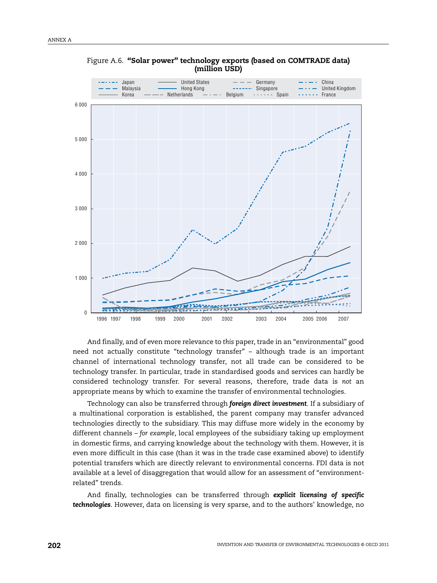

<span id="page-11-0"></span>Figure A.6. **"Solar power" technology exports (based on COMTRADE data) (million USD)**

And finally, and of even more relevance to *this* paper, trade in an "environmental" good need not actually constitute "technology transfer" – although trade is an important channel of international technology transfer, not all trade can be considered to be technology transfer. In particular, trade in standardised goods and services can hardly be considered technology transfer. For several reasons, therefore, trade data is *not* an appropriate means by which to examine the transfer of environmental technologies.

Technology can also be transferred through *foreign direct investment*. If a subsidiary of a multinational corporation is established, the parent company may transfer advanced technologies directly to the subsidiary. This may diffuse more widely in the economy by different channels – *for example*, local employees of the subsidiary taking up employment in domestic firms, and carrying knowledge about the technology with them. However, it is even more difficult in this case (than it was in the trade case examined above) to identify potential transfers which are directly relevant to environmental concerns. FDI data is not available at a level of disaggregation that would allow for an assessment of "environmentrelated" trends.

And finally, technologies can be transferred through *explicit licensing of specific technologies*. However, data on licensing is very sparse, and to the authors' knowledge, no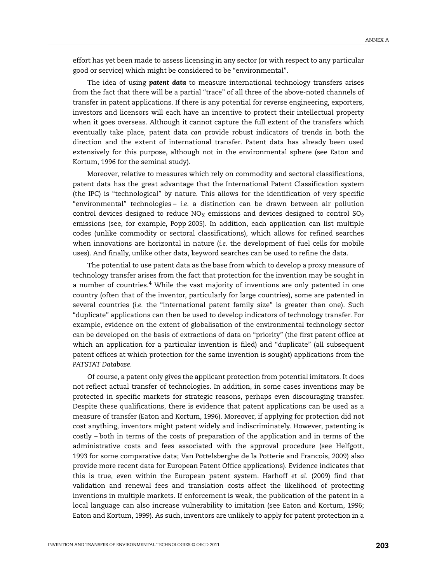effort has yet been made to assess licensing in any sector (or with respect to any particular good or service) which might be considered to be "environmental".

The idea of using *patent data* to measure international technology transfers arises from the fact that there will be a partial "trace" of all three of the above-noted channels of transfer in patent applications. If there is any potential for reverse engineering, exporters, investors and licensors will each have an incentive to protect their intellectual property when it goes overseas. Although it cannot capture the full extent of the transfers which eventually take place, patent data *can* provide robust indicators of trends in both the direction and the extent of international transfer. Patent data has already been used extensively for this purpose, although not in the environmental sphere (see Eaton and Kortum, 1996 for the seminal study).

Moreover, relative to measures which rely on commodity and sectoral classifications, patent data has the great advantage that the International Patent Classification system (the IPC) is "technological" by nature. This allows for the identification of very specific "environmental" technologies – *i.e.* a distinction can be drawn between air pollution control devices designed to reduce  $NO_x$  emissions and devices designed to control  $SO_2$ emissions (see, for example, Popp 2005). In addition, each application can list multiple codes (unlike commodity or sectoral classifications), which allows for refined searches when innovations are horizontal in nature (*i.e.* the development of fuel cells for mobile uses). And finally, unlike other data, keyword searches can be used to refine the data.

The potential to use patent data as the base from which to develop a proxy measure of technology transfer arises from the fact that protection for the invention may be sought in a number of countries. $4$  While the vast majority of inventions are only patented in one country (often that of the inventor, particularly for large countries), some are patented in several countries (*i.e.* the "international patent family size" is greater than one). Such "duplicate" applications can then be used to develop indicators of technology transfer. For example, evidence on the extent of globalisation of the environmental technology sector can be developed on the basis of extractions of data on "priority" (the first patent office at which an application for a particular invention is filed) and "duplicate" (all subsequent patent offices at which protection for the same invention is sought) applications from the *PATSTAT Database*.

Of course, a patent only gives the applicant protection from potential imitators. It does not reflect actual transfer of technologies. In addition, in some cases inventions may be protected in specific markets for strategic reasons, perhaps even discouraging transfer. Despite these qualifications, there is evidence that patent applications can be used as a measure of transfer (Eaton and Kortum, 1996). Moreover, if applying for protection did not cost anything, inventors might patent widely and indiscriminately. However, patenting is costly – both in terms of the costs of preparation of the application and in terms of the administrative costs and fees associated with the approval procedure (see Helfgott, 1993 for some comparative data; Van Pottelsberghe de la Potterie and Francois, 2009) also provide more recent data for European Patent Office applications). Evidence indicates that this is true, even within the European patent system. Harhoff *et al.* (2009) find that validation and renewal fees and translation costs affect the likelihood of protecting inventions in multiple markets. If enforcement is weak, the publication of the patent in a local language can also increase vulnerability to imitation (see Eaton and Kortum, 1996; Eaton and Kortum, 1999). As such, inventors are unlikely to apply for patent protection in a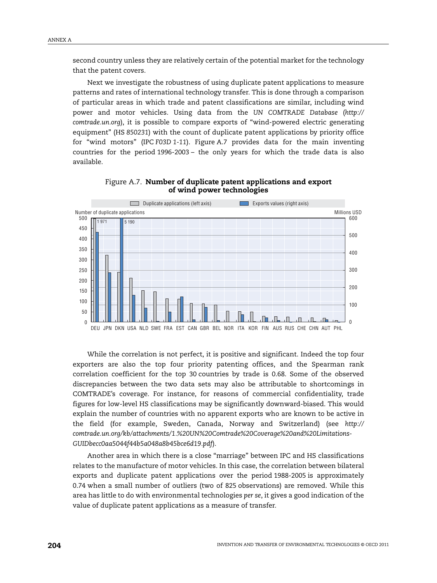second country unless they are relatively certain of the potential market for the technology that the patent covers.

Next we investigate the robustness of using duplicate patent applications to measure patterns and rates of international technology transfer. This is done through a comparison of particular areas in which trade and patent classifications are similar, including wind power and motor vehicles. Using data from the *UN COMTRADE Database* (*[http://](http://comtrade.un.org) [comtrade.un.org](http://comtrade.un.org)*), it is possible to compare exports of "wind-powered electric generating equipment" (HS *850231*) with the count of duplicate patent applications by priority office for "wind motors" (IPC *F03D 1-11*). [Figure A.7](#page-13-0) provides data for the main inventing countries for the period 1996-2003 – the only years for which the trade data is also available.

<span id="page-13-0"></span>



While the correlation is not perfect, it is positive and significant. Indeed the top four exporters are also the top four priority patenting offices, and the Spearman rank correlation coefficient for the top 30 countries by trade is 0.68. Some of the observed discrepancies between the two data sets may also be attributable to shortcomings in COMTRADE's coverage. For instance, for reasons of commercial confidentiality, trade figures for low-level HS classifications may be significantly downward-biased. This would explain the number of countries with no apparent exports who are known to be active in the field (for example, Sweden, Canada, Norway and Switzerland) (see *[http://](http://comtrade.un.org/kb/attachments/1.%20UN%20Comtrade%20Coverage%20and%20Limitations-GUIDbecc0aa5044f44b5a048a8b45bce6d19.pdf) [comtrade.un.org/kb/attachments/1.%20UN%20Comtrade%20Coverage%20and%20Limitations-](http://comtrade.un.org/kb/attachments/1.%20UN%20Comtrade%20Coverage%20and%20Limitations-GUIDbecc0aa5044f44b5a048a8b45bce6d19.pdf)[GUIDbecc0aa5044f44b5a048a8b45bce6d19.pdf](http://comtrade.un.org/kb/attachments/1.%20UN%20Comtrade%20Coverage%20and%20Limitations-GUIDbecc0aa5044f44b5a048a8b45bce6d19.pdf)*).

Another area in which there is a close "marriage" between IPC and HS classifications relates to the manufacture of motor vehicles. In this case, the correlation between bilateral exports and duplicate patent applications over the period 1988-2005 is approximately 0.74 when a small number of outliers (two of 825 observations) are removed. While this area has little to do with environmental technologies *per se*, it gives a good indication of the value of duplicate patent applications as a measure of transfer.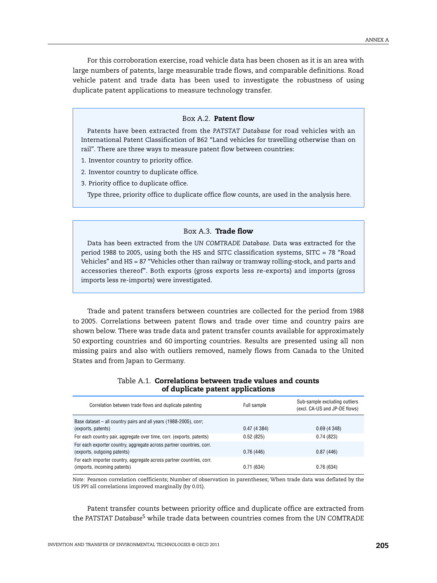For this corroboration exercise, road vehicle data has been chosen as it is an area with large numbers of patents, large measurable trade flows, and comparable definitions. Road vehicle patent and trade data has been used to investigate the robustness of using duplicate patent applications to measure technology transfer.

#### Box A.2. **Patent flow**

Patents have been extracted from the *PATSTAT Database* for road vehicles with an International Patent Classification of B62 "Land vehicles for travelling otherwise than on rail". There are three ways to measure patent flow between countries:

1. Inventor country to priority office.

2. Inventor country to duplicate office.

3. Priority office to duplicate office.

Type three, priority office to duplicate office flow counts, are used in the analysis here.

# Box A.3. **Trade flow**

Data has been extracted from the *UN COMTRADE Database*. Data was extracted for the period 1988 to 2005, using both the HS and SITC classification systems, SITC = 78 "Road Vehicles" and HS = 87 "Vehicles other than railway or tramway rolling-stock, and parts and accessories thereof". Both exports (gross exports less re-exports) and imports (gross imports less re-imports) were investigated.

Trade and patent transfers between countries are collected for the period from 1988 to 2005. Correlations between patent flows and trade over time and country pairs are shown below. There was trade data and patent transfer counts available for approximately 50 exporting countries and 60 importing countries. Results are presented using all non missing pairs and also with outliers removed, namely flows from Canada to the United States and from Japan to Germany.

| Correlation between trade flows and duplicate patenting                                             | Full sample | Sub-sample excluding outliers<br>(excl. CA-US and JP-DE flows) |
|-----------------------------------------------------------------------------------------------------|-------------|----------------------------------------------------------------|
| Base dataset – all country pairs and all years (1988-2005), corr;<br>(exports, patents)             | 0.47(4384)  | 0.69(4348)                                                     |
| For each country pair, aggregate over time, corr. (exports, patents)                                | 0.52(825)   | 0.74(823)                                                      |
| For each exporter country, aggregate across partner countries, corr.<br>(exports, outgoing patents) | 0.76(446)   | 0.87(446)                                                      |
| For each importer country, aggregate across partner countries, corr.<br>(imports, incoming patents) | 0.71(634)   | 0.76(634)                                                      |

### Table A.1. **Correlations between trade values and counts of duplicate patent applications**

*Note:* Pearson correlation coefficients; Number of observation in parentheses; When trade data was deflated by the US PPI all correlations improved marginally (by 0.01).

Patent transfer counts between priority office and duplicate office are extracted from the *PATSTAT Database*5 while trade data between countries comes from the *UN COMTRADE*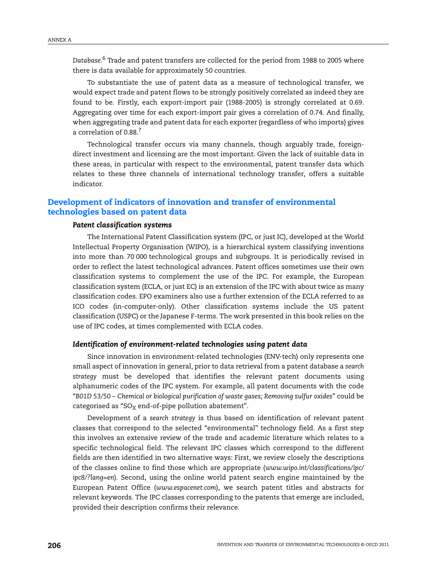*Database*. 6 Trade and patent transfers are collected for the period from 1988 to 2005 where there is data available for approximately 50 countries.

To substantiate the use of patent data as a measure of technological transfer, we would expect trade and patent flows to be strongly positively correlated as indeed they are found to be. Firstly, each export-import pair (1988-2005) is strongly correlated at 0.69. Aggregating over time for each export-import pair gives a correlation of 0.74. And finally, when aggregating trade and patent data for each exporter (regardless of who imports) gives a correlation of 0.88.<sup>7</sup>

Technological transfer occurs via many channels, though arguably trade, foreigndirect investment and licensing are the most important. Given the lack of suitable data in these areas, in particular with respect to the environmental, patent transfer data which relates to these three channels of international technology transfer, offers a suitable indicator.

# **Development of indicators of innovation and transfer of environmental technologies based on patent data**

# *Patent classification systems*

The International Patent Classification system (IPC, or just IC), developed at the World Intellectual Property Organisation (WIPO), is a hierarchical system classifying inventions into more than 70 000 technological groups and subgroups. It is periodically revised in order to reflect the latest technological advances. Patent offices sometimes use their own classification systems to complement the use of the IPC. For example, the European classification system (ECLA, or just EC) is an extension of the IPC with about twice as many classification codes. EPO examiners also use a further extension of the ECLA referred to as ICO codes (in-computer-only). Other classification systems include the US patent classification (USPC) or the Japanese F-terms. The work presented in this book relies on the use of IPC codes, at times complemented with ECLA codes.

# *Identification of environment-related technologies using patent data*

Since innovation in environment-related technologies (ENV-tech) only represents one small aspect of innovation in general, prior to data retrieval from a patent database a *search strategy* must be developed that identifies the relevant patent documents using alphanumeric codes of the IPC system. For example, all patent documents with the code "*B01D 53/50 – Chemical or biological purification of waste gases; Removing sulfur oxides*" could be categorised as "SO<sub>x</sub> end-of-pipe pollution abatement".

Development of a *search strategy* is thus based on identification of relevant patent classes that correspond to the selected "environmental" technology field. As a first step this involves an extensive review of the trade and academic literature which relates to a specific technological field. The relevant IPC classes which correspond to the different fields are then identified in two alternative ways: First, we review closely the descriptions of the classes online to find those which are appropriate (*[www.wipo.int/classifications/ipc/](http://www.wipo.int/classifications/ipc/ipc8/?lang=en) [ipc8/?lang=en](http://www.wipo.int/classifications/ipc/ipc8/?lang=en)*). Second, using the online world patent search engine maintained by the European Patent Office (*[www.espacenet.com](http://www.espacenet.com)*), we search patent titles and abstracts for relevant keywords. The IPC classes corresponding to the patents that emerge are included, provided their description confirms their relevance.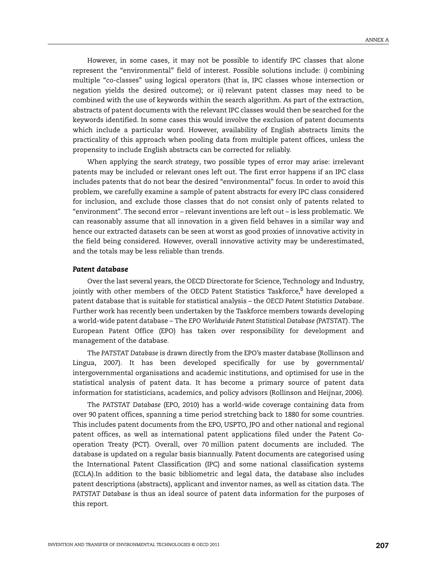However, in some cases, it may not be possible to identify IPC classes that alone represent the "environmental" field of interest. Possible solutions include: *i)* combining multiple "co-classes" using logical operators (that is, IPC classes whose intersection or negation yields the desired outcome); or *ii)* relevant patent classes may need to be combined with the use of keywords within the search algorithm. As part of the extraction, abstracts of patent documents with the relevant IPC classes would then be searched for the keywords identified. In some cases this would involve the exclusion of patent documents which include a particular word. However, availability of English abstracts limits the practicality of this approach when pooling data from multiple patent offices, unless the propensity to include English abstracts can be corrected for reliably.

When applying the *search strategy*, two possible types of error may arise: irrelevant patents may be included or relevant ones left out. The first error happens if an IPC class includes patents that do not bear the desired "environmental" focus. In order to avoid this problem, we carefully examine a sample of patent abstracts for every IPC class considered for inclusion, and exclude those classes that do not consist only of patents related to "environment". The second error – relevant inventions are left out – is less problematic. We can reasonably assume that all innovation in a given field behaves in a similar way and hence our extracted datasets can be seen at worst as good proxies of innovative activity in the field being considered. However, overall innovative activity may be underestimated, and the totals may be less reliable than trends.

## *Patent database*

Over the last several years, the OECD Directorate for Science, Technology and Industry, jointly with other members of the OECD Patent Statistics Taskforce,<sup>8</sup> have developed a patent database that is suitable for statistical analysis – the *OECD Patent Statistics Database*. Further work has recently been undertaken by the Taskforce members towards developing a world-wide patent database – The *EPO Worldwide Patent Statistical Database (PATSTAT)*. The European Patent Office (EPO) has taken over responsibility for development and management of the database.

The *PATSTAT Database* is drawn directly from the EPO's master database (Rollinson and Lingua, 2007). It has been developed specifically for use by governmental/ intergovernmental organisations and academic institutions, and optimised for use in the statistical analysis of patent data. It has become a primary source of patent data information for statisticians, academics, and policy advisors (Rollinson and Heijnar, 2006).

The *PATSTAT Database* (EPO, 2010) has a world-wide coverage containing data from over 90 patent offices, spanning a time period stretching back to 1880 for some countries. This includes patent documents from the EPO, USPTO, JPO and other national and regional patent offices, as well as international patent applications filed under the Patent Cooperation Treaty (PCT). Overall, over 70 million patent documents are included. The database is updated on a regular basis biannually. Patent documents are categorised using the International Patent Classification (IPC) and some national classification systems (ECLA).In addition to the basic bibliometric and legal data, the database also includes patent descriptions (abstracts), applicant and inventor names, as well as citation data. The *PATSTAT Database* is thus an ideal source of patent data information for the purposes of this report.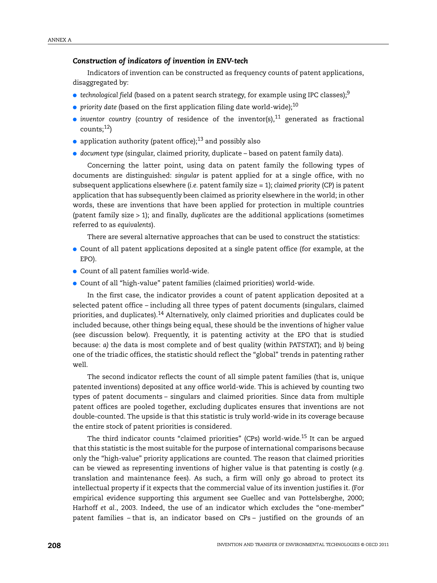# *Construction of indicators of invention in ENV-tech*

Indicators of invention can be constructed as frequency counts of patent applications, disaggregated by:

- *technological field* (based on a patent search strategy, for example using IPC classes);[9](#page-19-1)
- *priority date* (based on the first application filing date world-wide);10
- *inventor country* (country of residence of the inventor(s),<sup>[11](#page-19-2)</sup> generated as fractional counts;12)
- $\bullet$  application authority (patent office);<sup>13</sup> and possibly also
- *document type* (singular, claimed priority, duplicate based on patent family data).

Concerning the latter point, using data on patent family the following types of documents are distinguished: *singular* is patent applied for at a single office, with no subsequent applications elsewhere (*i.e.* patent family size = 1); *claimed priority* (CP) is patent application that has subsequently been claimed as priority elsewhere in the world; in other words, these are inventions that have been applied for protection in multiple countries (patent family size > 1); and finally, *duplicates* are the additional applications (sometimes referred to as *equivalents*).

There are several alternative approaches that can be used to construct the statistics:

- Count of all patent applications deposited at a single patent office (for example, at the EPO).
- Count of all patent families world-wide.
- Count of all "high-value" patent families (claimed priorities) world-wide.

In the first case, the indicator provides a count of patent application deposited at a selected patent office – including all three types of patent documents (singulars, claimed priorities, and duplicates).14 Alternatively, only claimed priorities and duplicates could be included because, other things being equal, these should be the inventions of higher value (see discussion below). Frequently, it is patenting activity at the EPO that is studied because: *a)* the data is most complete and of best quality (within PATSTAT); and *b)* being one of the triadic offices, the statistic should reflect the "global" trends in patenting rather well.

The second indicator reflects the count of all simple patent families (that is, unique patented inventions) deposited at any office world-wide. This is achieved by counting two types of patent documents – singulars and claimed priorities. Since data from multiple patent offices are pooled together, excluding duplicates ensures that inventions are not double-counted. The upside is that this statistic is truly world-wide in its coverage because the entire stock of patent priorities is considered.

The third indicator counts "claimed priorities" (CPs) world-wide.<sup>15</sup> It can be argued that this statistic is the most suitable for the purpose of international comparisons because only the "high-value" priority applications are counted. The reason that claimed priorities can be viewed as representing inventions of higher value is that patenting is costly (*e.g.* translation and maintenance fees). As such, a firm will only go abroad to protect its intellectual property if it expects that the commercial value of its invention justifies it. (For empirical evidence supporting this argument see Guellec and van Pottelsberghe, 2000; Harhoff *et al.*, 2003. Indeed, the use of an indicator which excludes the "one-member" patent families – that is, an indicator based on CPs – justified on the grounds of an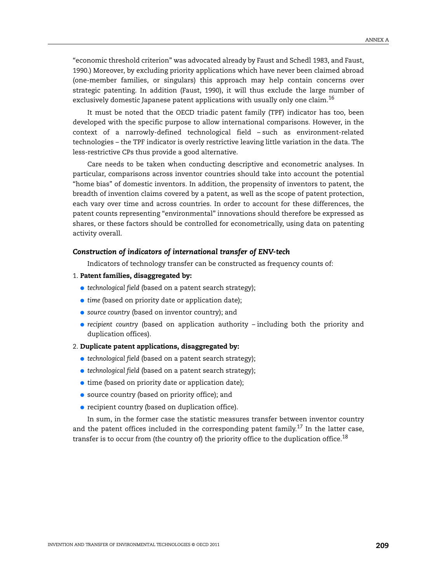"economic threshold criterion" was advocated already by Faust and Schedl 1983, and Faust, 1990.) Moreover, by excluding priority applications which have never been claimed abroad (one-member families, or singulars) this approach may help contain concerns over strategic patenting. In addition (Faust, 1990), it will thus exclude the large number of exclusively domestic Japanese patent applications with usually only one claim.<sup>16</sup>

It must be noted that the OECD triadic patent family (TPF) indicator has too, been developed with the specific purpose to allow international comparisons. However, in the context of a narrowly-defined technological field – such as environment-related technologies – the TPF indicator is overly restrictive leaving little variation in the data. The less-restrictive CPs thus provide a good alternative.

Care needs to be taken when conducting descriptive and econometric analyses. In particular, comparisons across inventor countries should take into account the potential "home bias" of domestic inventors. In addition, the propensity of inventors to patent, the breadth of invention claims covered by a patent, as well as the scope of patent protection, each vary over time and across countries. In order to account for these differences, the patent counts representing "environmental" innovations should therefore be expressed as shares, or these factors should be controlled for econometrically, using data on patenting activity overall.

#### *Construction of indicators of international transfer of ENV-tech*

Indicators of technology transfer can be constructed as frequency counts of:

#### 1. **Patent families, disaggregated by:**

- *technological field* (based on a patent search strategy);
- *time* (based on priority date or application date);
- *source country* (based on inventor country); and
- *recipient country* (based on application authority including both the priority and duplication offices).

#### 2. **Duplicate patent applications, disaggregated by:**

- *technological field* (based on a patent search strategy);
- *technological field* (based on a patent search strategy);
- time (based on priority date or application date);
- source country (based on priority office); and
- recipient country (based on duplication office).

In sum, in the former case the statistic measures transfer between inventor country and the patent offices included in the corresponding patent family.<sup>17</sup> In the latter case, transfer is to occur from (the country of) the priority office to the duplication office.<sup>18</sup>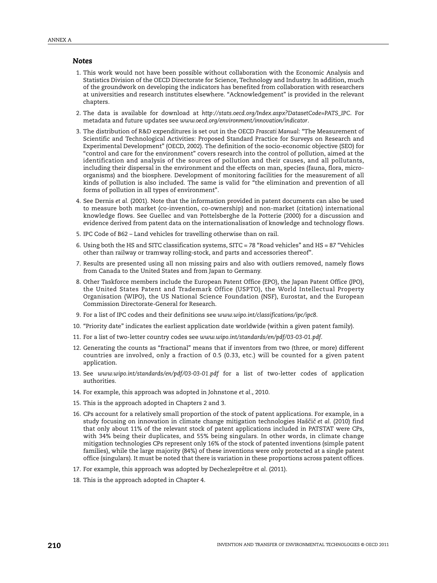#### *Notes*

- 1. This work would not have been possible without collaboration with the Economic Analysis and Statistics Division of the OECD Directorate for Science, Technology and Industry. In addition, much of the groundwork on developing the indicators has benefited from collaboration with researchers at universities and research institutes elsewhere. "Acknowledgement" is provided in the relevant chapters.
- <span id="page-19-0"></span>2. The data is available for download at *[http://stats.oecd.org/Index.aspx?DatasetCode=PATS\\_IPC](http://stats.oecd.org/Index.aspx?DatasetCode=PATS_IPC)*. For metadata and future updates see *[www.oecd.org/environment/innovation/indicator](http://www.oecd.org/environment/innovation/indicator)*.
- 3. The distribution of R&D expenditures is set out in the OECD *Frascati Manual*: "The Measurement of Scientific and Technological Activities: Proposed Standard Practice for Surveys on Research and Experimental Development" (OECD, 2002). The definition of the socio-economic objective (SEO) for "control and care for the environment" covers research into the control of pollution, aimed at the identification and analysis of the sources of pollution and their causes, and all pollutants, including their dispersal in the environment and the effects on man, species (fauna, flora, microorganisms) and the biosphere. Development of monitoring facilities for the measurement of all kinds of pollution is also included. The same is valid for "the elimination and prevention of all forms of pollution in all types of environment".
- 4. See Dernis *et al.* (2001). Note that the information provided in patent documents can also be used to measure both market (co-invention, co-ownership) and non-market (citation) international knowledge flows. See Guellec and van Pottelsberghe de la Potterie (2000) for a discussion and evidence derived from patent data on the internationalisation of knowledge and technology flows.
- 5. IPC Code of B62 Land vehicles for travelling otherwise than on rail.
- 6. Using both the HS and SITC classification systems, SITC = 78 "Road vehicles" and HS = 87 "Vehicles other than railway or tramway rolling-stock, and parts and accessories thereof".
- 7. Results are presented using all non missing pairs and also with outliers removed, namely flows from Canada to the United States and from Japan to Germany.
- 8. Other Taskforce members include the European Patent Office (EPO), the Japan Patent Office (JPO), the United States Patent and Trademark Office (USPTO), the World Intellectual Property Organisation (WIPO), the US National Science Foundation (NSF), Eurostat, and the European Commission Directorate-General for Research.
- <span id="page-19-1"></span>9. For a list of IPC codes and their definitions see *[www.wipo.int/classifications/ipc/ipc8](http://www.wipo.int/classifications/ipc/ipc8/)*.
- 10. "Priority date" indicates the earliest application date worldwide (within a given patent family).
- <span id="page-19-2"></span>11. For a list of two-letter country codes see *[www.wipo.int/standards/en/pdf/03-03-01.pdf](http://www.wipo.int/standards/en/pdf/03-03-01.pdf)*.
- 12. Generating the counts as "fractional" means that if inventors from two (three, or more) different countries are involved, only a fraction of 0.5 (0.33, etc.) will be counted for a given patent application.
- <span id="page-19-3"></span>13. See *[www.wipo.int/standards/en/pdf/03-03-01.pdf](http://www.wipo.int/standards/en/pdf/03-03-01.pdf)* for a list of two-letter codes of application authorities.
- 14. For example, this approach was adopted in Johnstone *et al.*, 2010.
- 15. This is the approach adopted in Chapters 2 and 3.
- 16. CPs account for a relatively small proportion of the stock of patent applications. For example, in a study focusing on innovation in climate change mitigation technologies Haščič *et al.* (2010) find that only about 11% of the relevant stock of patent applications included in PATSTAT were CPs, with 34% being their duplicates, and 55% being singulars. In other words, in climate change mitigation technologies CPs represent only 16% of the stock of patented inventions (simple patent families), while the large majority (84%) of these inventions were only protected at a single patent office (singulars). It must be noted that there is variation in these proportions across patent offices.
- 17. For example, this approach was adopted by Dechezleprêtre *et al.* (2011).
- 18. This is the approach adopted in Chapter 4.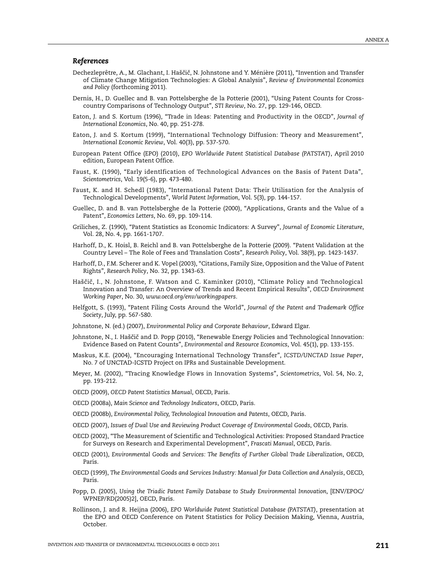#### *References*

- Dechezleprêtre, A., M. Glachant, I. Haščič, N. Johnstone and Y. Ménière (2011), "Invention and Transfer of Climate Change Mitigation Technologies: A Global Analysis", *Review of Environmental Economics and Policy* (forthcoming 2011).
- Dernis, H., D. Guellec and B. van Pottelsberghe de la Potterie (2001), "Using Patent Counts for Crosscountry Comparisons of Technology Output", *STI Review*, No. 27, pp. 129-146, OECD.
- Eaton, J. and S. Kortum (1996), "Trade in Ideas: Patenting and Productivity in the OECD", *Journal of International Economics*, No. 40, pp. 251-278.
- Eaton, J. and S. Kortum (1999), "International Technology Diffusion: Theory and Measurement", *International Economic Review*, Vol. 40(3), pp. 537-570.
- European Patent Office (EPO) (2010), *EPO Worldwide Patent Statistical Database (PATSTAT)*, April 2010 edition, European Patent Office.
- Faust, K. (1990), "Early identIfication of Technological Advances on the Basis of Patent Data", *Scientometrics*, Vol. 19(5-6), pp. 473-480.
- Faust, K. and H. Schedl (1983), "International Patent Data: Their Utilisation for the Analysis of Technological Developments", *World Patent Information*, Vol. 5(3), pp. 144-157.
- Guellec, D. and B. van Pottelsberghe de la Potterie (2000), "Applications, Grants and the Value of a Patent", *Economics Letters*, No. 69, pp. 109-114.
- Griliches, Z. (1990), "Patent Statistics as Economic Indicators: A Survey", *Journal of Economic Literature*, Vol. 28, No. 4, pp. 1661-1707.
- Harhoff, D., K. Hoisl, B. Reichl and B. van Pottelsberghe de la Potterie (2009). "Patent Validation at the Country Level – The Role of Fees and Translation Costs", *Research Policy*, Vol. 38(9), pp. 1423-1437.
- Harhoff, D., F.M. Scherer and K. Vopel (2003), "Citations, Family Size, Opposition and the Value of Patent Rights", *Research Policy*, No. 32, pp. 1343-63.
- Haščič, I., N. Johnstone, F. Watson and C. Kaminker (2010), "Climate Policy and Technological Innovation and Transfer: An Overview of Trends and Recent Empirical Results", *OECD Environment Working Paper*, No. 30, *[www.oecd.org/env/workingpapers](http://www.oecd.org/env/workingpapers)*.
- Helfgott, S. (1993), "Patent Filing Costs Around the World", *Journal of the Patent and Trademark Office Society*, July, pp. 567-580.
- Johnstone, N. (ed.) (2007), *Environmental Policy and Corporate Behaviour*, Edward Elgar.
- Johnstone, N., I. Haščič and D. Popp (2010), "Renewable Energy Policies and Technological Innovation: Evidence Based on Patent Counts", *Environmental and Resource Economics*, Vol. 45(1), pp. 133-155.
- Maskus, K.E. (2004), "Encouraging International Technology Transfer", *ICSTD/UNCTAD Issue Paper*, No. 7 of UNCTAD-ICSTD Project on IPRs and Sustainable Development.
- Meyer, M. (2002), "Tracing Knowledge Flows in Innovation Systems", *Scientometrics*, Vol. 54, No. 2, pp. 193-212.
- OECD (2009), *OECD Patent Statistics Manual*, OECD, Paris.
- OECD (2008a), *Main Science and Technology Indicators*, OECD, Paris.
- OECD (2008b), *Environmental Policy, Technological Innovation and Patents*, OECD, Paris.
- OECD (2007), *Issues of Dual Use and Reviewing Product Coverage of Environmental Goods*, OECD, Paris.
- OECD (2002), "The Measurement of Scientific and Technological Activities: Proposed Standard Practice for Surveys on Research and Experimental Development", *Frascati Manual*, OECD, Paris.
- OECD (2001), *Environmental Goods and Services: The Benefits of Further Global Trade Liberalization*, OECD, Paris.
- OECD (1999), *The Environmental Goods and Services Industry: Manual for Data Collection and Analysis*, OECD, Paris.
- Popp, D. (2005), *Using the Triadic Patent Family Database to Study Environmental Innovation*, [ENV/EPOC/ WPNEP/RD(2005)2], OECD, Paris.
- Rollinson, J. and R. Heijna (2006), *EPO Worldwide Patent Statistical Database (PATSTAT)*, presentation at the EPO and OECD Conference on Patent Statistics for Policy Decision Making, Vienna, Austria, October.